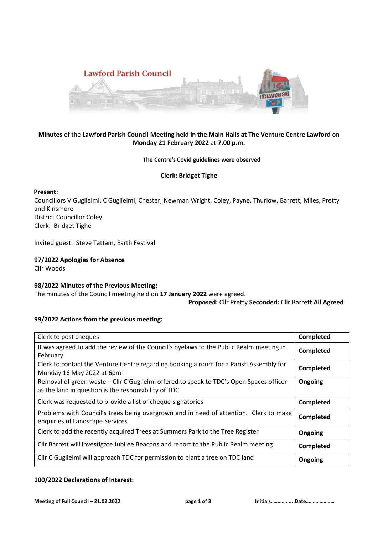

### **Minutes** of the **Lawford Parish Council Meeting held in the Main Halls at The Venture Centre Lawford** on **Monday 21 February 2022** at **7.00 p.m.**

#### **The Centre's Covid guidelines were observed**

### **Clerk: Bridget Tighe**

### **Present:**

Councillors V Guglielmi, C Guglielmi, Chester, Newman Wright, Coley, Payne, Thurlow, Barrett, Miles, Pretty and Kinsmore District Councillor Coley Clerk: Bridget Tighe

Invited guest: Steve Tattam, Earth Festival

**97/2022 Apologies for Absence**  Cllr Woods

### **98/2022 Minutes of the Previous Meeting:**

The minutes of the Council meeting held on **17 January 2022** were agreed.

**Proposed:** Cllr Pretty **Seconded:** Cllr Barrett **All Agreed**

### **99/2022 Actions from the previous meeting:**

| Clerk to post cheques                                                                                                                           | Completed |
|-------------------------------------------------------------------------------------------------------------------------------------------------|-----------|
| It was agreed to add the review of the Council's byelaws to the Public Realm meeting in<br>February                                             | Completed |
| Clerk to contact the Venture Centre regarding booking a room for a Parish Assembly for<br>Monday 16 May 2022 at 6pm                             | Completed |
| Removal of green waste – Cllr C Guglielmi offered to speak to TDC's Open Spaces officer<br>as the land in question is the responsibility of TDC | Ongoing   |
| Clerk was requested to provide a list of cheque signatories                                                                                     | Completed |
| Problems with Council's trees being overgrown and in need of attention. Clerk to make<br>enquiries of Landscape Services                        | Completed |
| Clerk to add the recently acquired Trees at Summers Park to the Tree Register                                                                   | Ongoing   |
| Cllr Barrett will investigate Jubilee Beacons and report to the Public Realm meeting                                                            | Completed |
| Cllr C Guglielmi will approach TDC for permission to plant a tree on TDC land                                                                   | Ongoing   |

### **100/2022 Declarations of Interest:**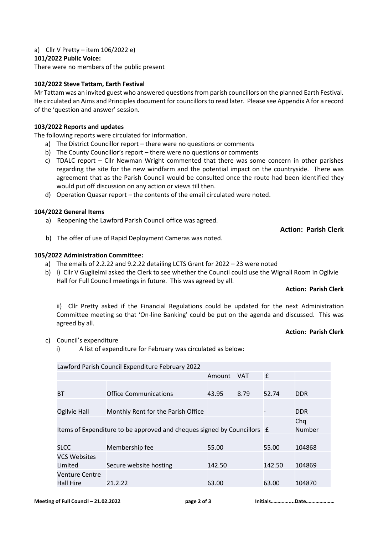## a) Cllr V Pretty – item 106/2022 e)

## **101/2022 Public Voice:**

There were no members of the public present

# **102/2022 Steve Tattam, Earth Festival**

Mr Tattam was an invited guest who answered questions from parish councillors on the planned Earth Festival. He circulated an Aims and Principles document for councillors to read later. Please see Appendix A for a record of the 'question and answer' session.

## **103/2022 Reports and updates**

The following reports were circulated for information.

- a) The District Councillor report there were no questions or comments
- b) The County Councillor's report there were no questions or comments
- c) TDALC report Cllr Newman Wright commented that there was some concern in other parishes regarding the site for the new windfarm and the potential impact on the countryside. There was agreement that as the Parish Council would be consulted once the route had been identified they would put off discussion on any action or views till then.
- d) Operation Quasar report *–* the contents of the email circulated were noted.

# **104/2022 General Items**

a) Reopening the Lawford Parish Council office was agreed.

**Action: Parish Clerk**

b) The offer of use of Rapid Deployment Cameras was noted.

# **105/2022 Administration Committee:**

- a) The emails of 2.2.22 and 9.2.22 detailing LCTS Grant for 2022 23 were noted
- b) i) Cllr V Guglielmi asked the Clerk to see whether the Council could use the Wignall Room in Ogilvie Hall for Full Council meetings in future. This was agreed by all.

## **Action: Parish Clerk**

ii) Cllr Pretty asked if the Financial Regulations could be updated for the next Administration Committee meeting so that 'On-line Banking' could be put on the agenda and discussed. This was agreed by all.

## **Action: Parish Clerk**

- c) Council's expenditure
	- i) A list of expenditure for February was circulated as below:

## Lawford Parish Council Expenditure February 2022

|                                                                         |                                    | Amount | <b>VAT</b> | f      |            |
|-------------------------------------------------------------------------|------------------------------------|--------|------------|--------|------------|
|                                                                         |                                    |        |            |        |            |
| <b>BT</b>                                                               | <b>Office Communications</b>       | 43.95  | 8.79       | 52.74  | <b>DDR</b> |
|                                                                         |                                    |        |            |        |            |
| Ogilvie Hall                                                            | Monthly Rent for the Parish Office |        |            |        | <b>DDR</b> |
|                                                                         |                                    |        |            |        | Chq        |
| Items of Expenditure to be approved and cheques signed by Councillors £ |                                    |        |            | Number |            |
|                                                                         |                                    |        |            |        |            |
| <b>SLCC</b>                                                             | Membership fee                     | 55.00  |            | 55.00  | 104868     |
| <b>VCS Websites</b>                                                     |                                    |        |            |        |            |
| Limited                                                                 | Secure website hosting             | 142.50 |            | 142.50 | 104869     |
| <b>Venture Centre</b>                                                   |                                    |        |            |        |            |
| <b>Hall Hire</b>                                                        | 21.2.22                            | 63.00  |            | 63.00  | 104870     |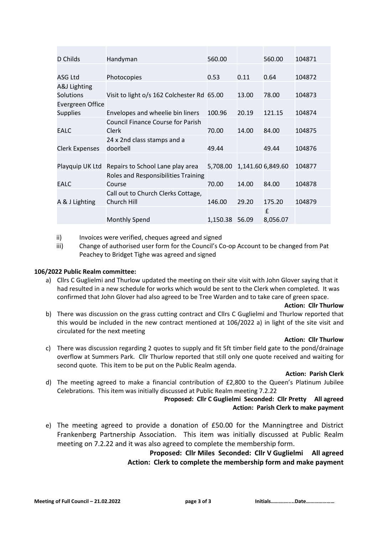| D Childs              | Handyman                                   | 560.00   |       | 560.00            | 104871 |
|-----------------------|--------------------------------------------|----------|-------|-------------------|--------|
| ASG Ltd               | Photocopies                                | 0.53     | 0.11  | 0.64              | 104872 |
| A&J Lighting          |                                            |          |       |                   |        |
| <b>Solutions</b>      | Visit to light o/s 162 Colchester Rd 65.00 |          | 13.00 | 78.00             | 104873 |
| Evergreen Office      |                                            |          |       |                   |        |
| <b>Supplies</b>       | Envelopes and wheelie bin liners           | 100.96   | 20.19 | 121.15            | 104874 |
|                       | <b>Council Finance Course for Parish</b>   |          |       |                   |        |
| <b>EALC</b>           | Clerk                                      | 70.00    | 14.00 | 84.00             | 104875 |
|                       | 24 x 2nd class stamps and a                |          |       |                   |        |
| <b>Clerk Expenses</b> | doorbell                                   | 49.44    |       | 49.44             | 104876 |
|                       |                                            |          |       |                   |        |
| Playquip UK Ltd       | Repairs to School Lane play area           | 5,708.00 |       | 1,141.60 6,849.60 | 104877 |
|                       | Roles and Responsibilities Training        |          |       |                   |        |
| <b>EALC</b>           | Course                                     | 70.00    | 14.00 | 84.00             | 104878 |
|                       | Call out to Church Clerks Cottage,         |          |       |                   |        |
| A & J Lighting        | Church Hill                                | 146.00   | 29.20 | 175.20            | 104879 |
|                       |                                            |          |       | £                 |        |
|                       | <b>Monthly Spend</b>                       | 1,150.38 | 56.09 | 8,056.07          |        |

ii) Invoices were verified, cheques agreed and signed

iii) Change of authorised user form for the Council's Co-op Account to be changed from Pat Peachey to Bridget Tighe was agreed and signed

### **106/2022 Public Realm committee:**

a) Cllrs C Guglielmi and Thurlow updated the meeting on their site visit with John Glover saying that it had resulted in a new schedule for works which would be sent to the Clerk when completed. It was confirmed that John Glover had also agreed to be Tree Warden and to take care of green space.

#### **Action: Cllr Thurlow**

b) There was discussion on the grass cutting contract and Cllrs C Guglielmi and Thurlow reported that this would be included in the new contract mentioned at 106/2022 a) in light of the site visit and circulated for the next meeting

#### **Action: Cllr Thurlow**

c) There was discussion regarding 2 quotes to supply and fit 5ft timber field gate to the pond/drainage overflow at Summers Park. Cllr Thurlow reported that still only one quote received and waiting for second quote. This item to be put on the Public Realm agenda.

#### **Action: Parish Clerk**

d) The meeting agreed to make a financial contribution of £2,800 to the Queen's Platinum Jubilee Celebrations. This item was initially discussed at Public Realm meeting 7.2.22

### **Proposed: Cllr C Guglielmi Seconded: Cllr Pretty All agreed Action: Parish Clerk to make payment**

e) The meeting agreed to provide a donation of £50.00 for the Manningtree and District Frankenberg Partnership Association. This item was initially discussed at Public Realm meeting on 7.2.22 and it was also agreed to complete the membership form.

> **Proposed: Cllr Miles Seconded: Cllr V Guglielmi All agreed Action: Clerk to complete the membership form and make payment**